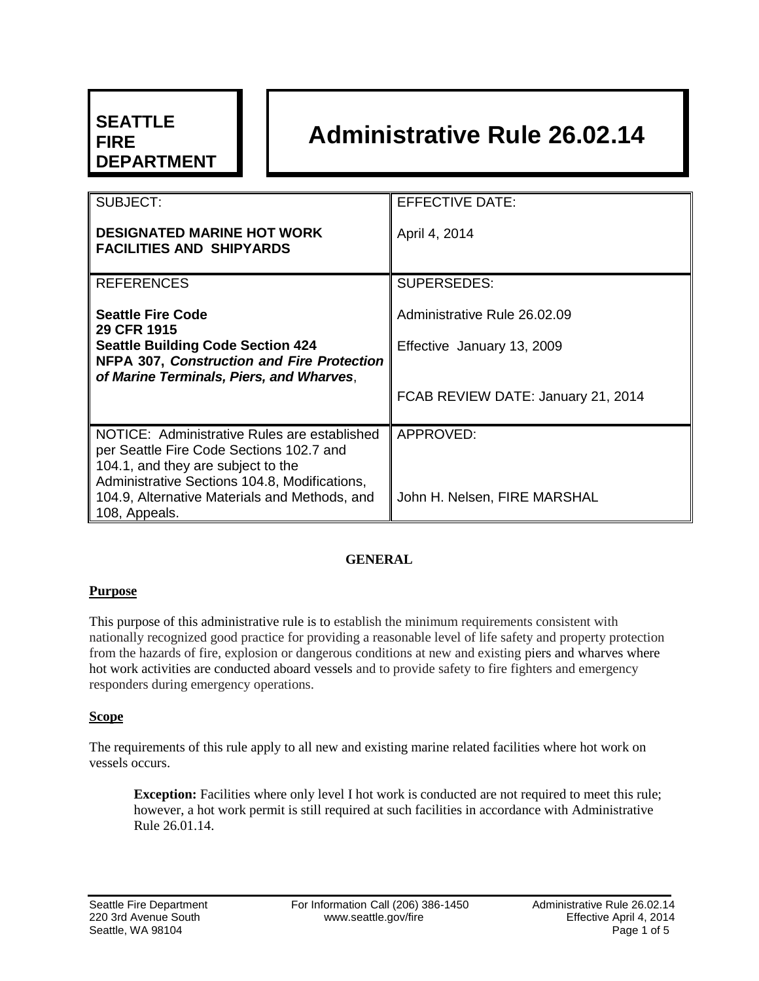# **SEATTLE FIRE DEPARTMENT**

# **Administrative Rule 26.02.14**

| SUBJECT:                                                                                      | <b>EFFECTIVE DATE:</b>             |
|-----------------------------------------------------------------------------------------------|------------------------------------|
| <b>DESIGNATED MARINE HOT WORK</b><br><b>FACILITIES AND SHIPYARDS</b>                          | April 4, 2014                      |
| <b>REFERENCES</b>                                                                             | <b>SUPERSEDES:</b>                 |
| <b>Seattle Fire Code</b><br>29 CFR 1915                                                       | Administrative Rule 26.02.09       |
| <b>Seattle Building Code Section 424</b>                                                      | Effective January 13, 2009         |
| <b>NFPA 307, Construction and Fire Protection</b><br>of Marine Terminals, Piers, and Wharves, |                                    |
|                                                                                               | FCAB REVIEW DATE: January 21, 2014 |
| NOTICE: Administrative Rules are established                                                  | APPROVED:                          |
| per Seattle Fire Code Sections 102.7 and<br>104.1, and they are subject to the                |                                    |
| Administrative Sections 104.8, Modifications,                                                 |                                    |
| 104.9, Alternative Materials and Methods, and<br>108, Appeals.                                | John H. Nelsen, FIRE MARSHAL       |
|                                                                                               |                                    |

# **GENERAL**

#### **Purpose**

This purpose of this administrative rule is to establish the minimum requirements consistent with nationally recognized good practice for providing a reasonable level of life safety and property protection from the hazards of fire, explosion or dangerous conditions at new and existing piers and wharves where hot work activities are conducted aboard vessels and to provide safety to fire fighters and emergency responders during emergency operations.

# **Scope**

The requirements of this rule apply to all new and existing marine related facilities where hot work on vessels occurs.

**Exception:** Facilities where only level I hot work is conducted are not required to meet this rule; however, a hot work permit is still required at such facilities in accordance with Administrative Rule 26.01.14.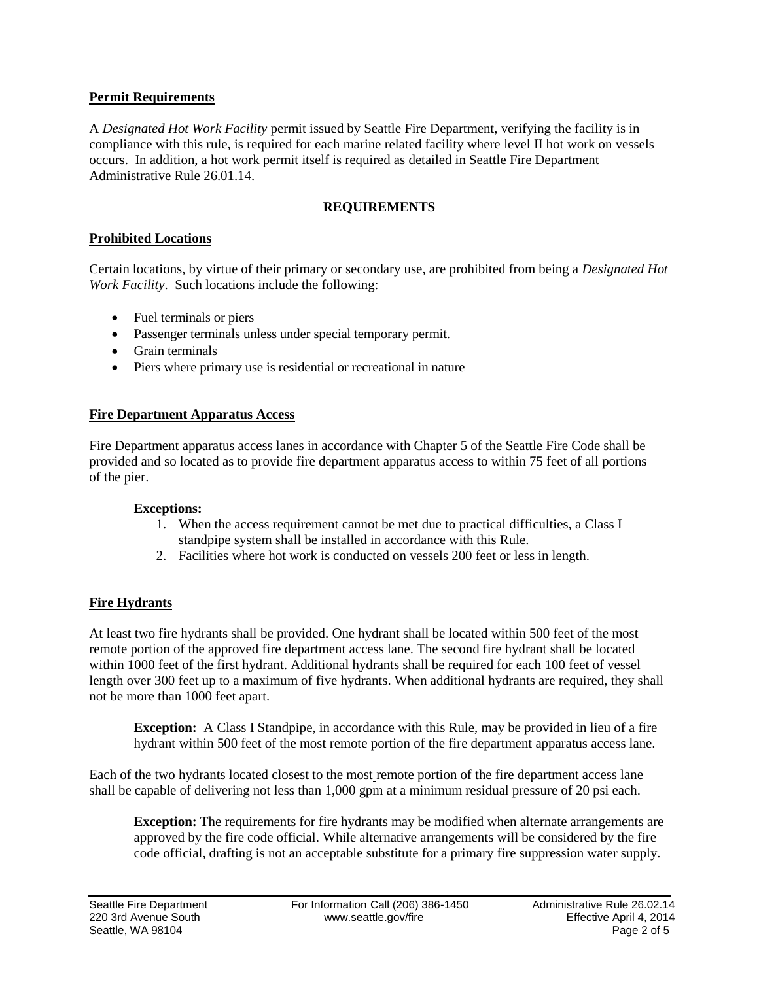# **Permit Requirements**

A *Designated Hot Work Facility* permit issued by Seattle Fire Department, verifying the facility is in compliance with this rule, is required for each marine related facility where level II hot work on vessels occurs. In addition, a hot work permit itself is required as detailed in Seattle Fire Department Administrative Rule 26.01.14.

# **REQUIREMENTS**

# **Prohibited Locations**

Certain locations, by virtue of their primary or secondary use, are prohibited from being a *Designated Hot Work Facility*. Such locations include the following:

- Fuel terminals or piers
- Passenger terminals unless under special temporary permit.
- Grain terminals
- Piers where primary use is residential or recreational in nature

#### **Fire Department Apparatus Access**

Fire Department apparatus access lanes in accordance with Chapter 5 of the Seattle Fire Code shall be provided and so located as to provide fire department apparatus access to within 75 feet of all portions of the pier.

#### **Exceptions:**

- 1. When the access requirement cannot be met due to practical difficulties, a Class I standpipe system shall be installed in accordance with this Rule.
- 2. Facilities where hot work is conducted on vessels 200 feet or less in length.

# **Fire Hydrants**

At least two fire hydrants shall be provided. One hydrant shall be located within 500 feet of the most remote portion of the approved fire department access lane. The second fire hydrant shall be located within 1000 feet of the first hydrant. Additional hydrants shall be required for each 100 feet of vessel length over 300 feet up to a maximum of five hydrants. When additional hydrants are required, they shall not be more than 1000 feet apart.

**Exception:** A Class I Standpipe, in accordance with this Rule, may be provided in lieu of a fire hydrant within 500 feet of the most remote portion of the fire department apparatus access lane.

Each of the two hydrants located closest to the most remote portion of the fire department access lane shall be capable of delivering not less than 1,000 gpm at a minimum residual pressure of 20 psi each.

**Exception:** The requirements for fire hydrants may be modified when alternate arrangements are approved by the fire code official. While alternative arrangements will be considered by the fire code official, drafting is not an acceptable substitute for a primary fire suppression water supply.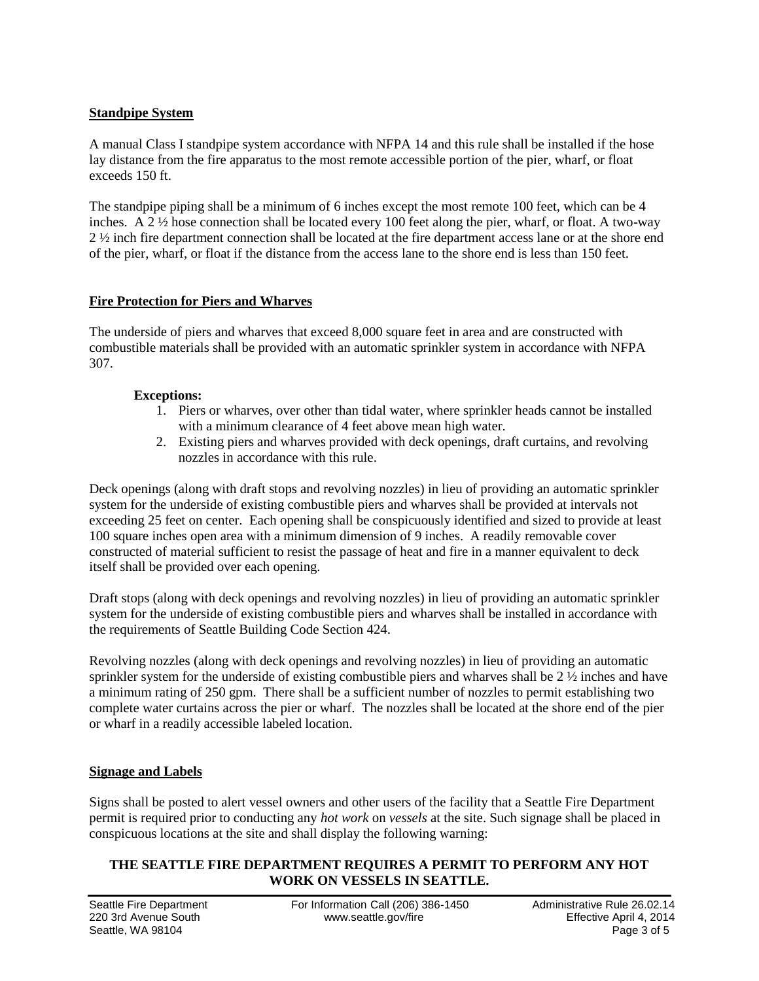# **Standpipe System**

A manual Class I standpipe system accordance with NFPA 14 and this rule shall be installed if the hose lay distance from the fire apparatus to the most remote accessible portion of the pier, wharf, or float exceeds 150 ft.

The standpipe piping shall be a minimum of 6 inches except the most remote 100 feet, which can be 4 inches. A  $2 \frac{1}{2}$  hose connection shall be located every 100 feet along the pier, wharf, or float. A two-way 2 ½ inch fire department connection shall be located at the fire department access lane or at the shore end of the pier, wharf, or float if the distance from the access lane to the shore end is less than 150 feet.

# **Fire Protection for Piers and Wharves**

The underside of piers and wharves that exceed 8,000 square feet in area and are constructed with combustible materials shall be provided with an automatic sprinkler system in accordance with NFPA 307.

# **Exceptions:**

- 1. Piers or wharves, over other than tidal water, where sprinkler heads cannot be installed with a minimum clearance of 4 feet above mean high water.
- 2. Existing piers and wharves provided with deck openings, draft curtains, and revolving nozzles in accordance with this rule.

Deck openings (along with draft stops and revolving nozzles) in lieu of providing an automatic sprinkler system for the underside of existing combustible piers and wharves shall be provided at intervals not exceeding 25 feet on center. Each opening shall be conspicuously identified and sized to provide at least 100 square inches open area with a minimum dimension of 9 inches. A readily removable cover constructed of material sufficient to resist the passage of heat and fire in a manner equivalent to deck itself shall be provided over each opening.

Draft stops (along with deck openings and revolving nozzles) in lieu of providing an automatic sprinkler system for the underside of existing combustible piers and wharves shall be installed in accordance with the requirements of Seattle Building Code Section 424.

Revolving nozzles (along with deck openings and revolving nozzles) in lieu of providing an automatic sprinkler system for the underside of existing combustible piers and wharves shall be 2 ½ inches and have a minimum rating of 250 gpm. There shall be a sufficient number of nozzles to permit establishing two complete water curtains across the pier or wharf. The nozzles shall be located at the shore end of the pier or wharf in a readily accessible labeled location.

#### **Signage and Labels**

Signs shall be posted to alert vessel owners and other users of the facility that a Seattle Fire Department permit is required prior to conducting any *hot work* on *vessels* at the site. Such signage shall be placed in conspicuous locations at the site and shall display the following warning:

# **THE SEATTLE FIRE DEPARTMENT REQUIRES A PERMIT TO PERFORM ANY HOT WORK ON VESSELS IN SEATTLE.**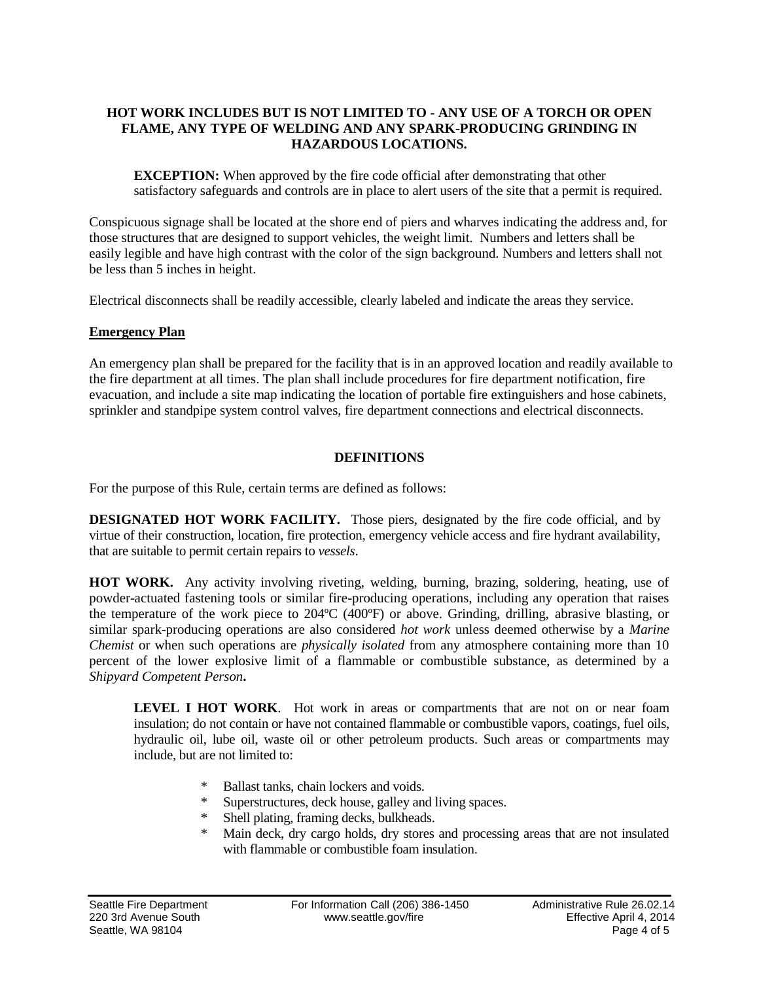# **HOT WORK INCLUDES BUT IS NOT LIMITED TO - ANY USE OF A TORCH OR OPEN FLAME, ANY TYPE OF WELDING AND ANY SPARK-PRODUCING GRINDING IN HAZARDOUS LOCATIONS.**

**EXCEPTION:** When approved by the fire code official after demonstrating that other satisfactory safeguards and controls are in place to alert users of the site that a permit is required.

Conspicuous signage shall be located at the shore end of piers and wharves indicating the address and, for those structures that are designed to support vehicles, the weight limit. Numbers and letters shall be easily legible and have high contrast with the color of the sign background. Numbers and letters shall not be less than 5 inches in height.

Electrical disconnects shall be readily accessible, clearly labeled and indicate the areas they service.

# **Emergency Plan**

An emergency plan shall be prepared for the facility that is in an approved location and readily available to the fire department at all times. The plan shall include procedures for fire department notification, fire evacuation, and include a site map indicating the location of portable fire extinguishers and hose cabinets, sprinkler and standpipe system control valves, fire department connections and electrical disconnects.

# **DEFINITIONS**

For the purpose of this Rule, certain terms are defined as follows:

**DESIGNATED HOT WORK FACILITY.** Those piers, designated by the fire code official, and by virtue of their construction, location, fire protection, emergency vehicle access and fire hydrant availability, that are suitable to permit certain repairs to *vessels*.

**HOT WORK.** Any activity involving riveting, welding, burning, brazing, soldering, heating, use of powder-actuated fastening tools or similar fire-producing operations, including any operation that raises the temperature of the work piece to 204ºC (400ºF) or above. Grinding, drilling, abrasive blasting, or similar spark-producing operations are also considered *hot work* unless deemed otherwise by a *Marine Chemist* or when such operations are *physically isolated* from any atmosphere containing more than 10 percent of the lower explosive limit of a flammable or combustible substance, as determined by a *Shipyard Competent Person***.**

**LEVEL I HOT WORK**. Hot work in areas or compartments that are not on or near foam insulation; do not contain or have not contained flammable or combustible vapors, coatings, fuel oils, hydraulic oil, lube oil, waste oil or other petroleum products. Such areas or compartments may include, but are not limited to:

- Ballast tanks, chain lockers and voids.
- \* Superstructures, deck house, galley and living spaces.
- Shell plating, framing decks, bulkheads.
- \* Main deck, dry cargo holds, dry stores and processing areas that are not insulated with flammable or combustible foam insulation.